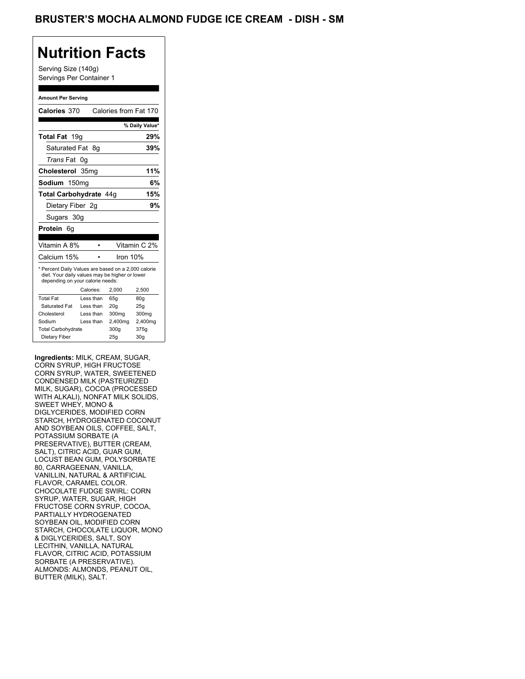## **Nutrition Facts**

Serving Size (140g) Servings Per Container 1

#### **Amount Per Serving**

| Calories 370                                                                                                                              |                  | Calories from Fat 170 |                |
|-------------------------------------------------------------------------------------------------------------------------------------------|------------------|-----------------------|----------------|
|                                                                                                                                           |                  |                       | % Daily Value* |
| Total Fat 19g                                                                                                                             |                  |                       | 29%            |
| Saturated Fat 8q                                                                                                                          |                  |                       | 39%            |
| <i>Trans</i> Fat                                                                                                                          | 0g               |                       |                |
| Cholesterol                                                                                                                               | 35 <sub>mq</sub> |                       | 11%            |
| Sodium 150mg                                                                                                                              |                  |                       | 6%             |
| Total Carbohydrate 44q                                                                                                                    |                  |                       | 15%            |
| Dietary Fiber 2g                                                                                                                          |                  |                       | 9%             |
| Sugars 30g                                                                                                                                |                  |                       |                |
| <b>Protein</b> 6q                                                                                                                         |                  |                       |                |
|                                                                                                                                           |                  |                       |                |
| Vitamin A 8%                                                                                                                              |                  |                       | Vitamin C 2%   |
| Calcium 15%                                                                                                                               |                  | Iron $10%$            |                |
| * Percent Daily Values are based on a 2,000 calorie<br>diet. Your daily values may be higher or lower<br>depending on your calorie needs: |                  |                       |                |
|                                                                                                                                           | Calories:        | 2.000                 | 2,500          |
| <b>Total Fat</b>                                                                                                                          | Less than        | 65q                   | 80q            |
| Saturated Fat                                                                                                                             | Less than        | 20q                   | 25q            |
| Cholesterol                                                                                                                               | Less than        | 300mg                 | 300mg          |
|                                                                                                                                           |                  |                       |                |
| Sodium                                                                                                                                    | Less than        | 2,400mg               | 2,400mg        |
| <b>Total Carbohydrate</b>                                                                                                                 |                  | 300g                  | 375g           |

**Ingredients:** MILK, CREAM, SUGAR, CORN SYRUP, HIGH FRUCTOSE CORN SYRUP, WATER, SWEETENED CONDENSED MILK (PASTEURIZED MILK, SUGAR), COCOA (PROCESSED WITH ALKALI), NONFAT MILK SOLIDS, SWEET WHEY, MONO & DIGLYCERIDES, MODIFIED CORN STARCH, HYDROGENATED COCONUT AND SOYBEAN OILS, COFFEE, SALT, POTASSIUM SORBATE (A PRESERVATIVE), BUTTER (CREAM, SALT), CITRIC ACID, GUAR GUM, LOCUST BEAN GUM, POLYSORBATE 80, CARRAGEENAN, VANILLA, VANILLIN, NATURAL & ARTIFICIAL FLAVOR, CARAMEL COLOR. CHOCOLATE FUDGE SWIRL: CORN SYRUP, WATER, SUGAR, HIGH FRUCTOSE CORN SYRUP, COCOA, PARTIALLY HYDROGENATED SOYBEAN OIL, MODIFIED CORN STARCH, CHOCOLATE LIQUOR, MONO & DIGLYCERIDES, SALT, SOY LECITHIN, VANILLA, NATURAL FLAVOR, CITRIC ACID, POTASSIUM SORBATE (A PRESERVATIVE). ALMONDS: ALMONDS, PEANUT OIL, BUTTER (MILK), SALT.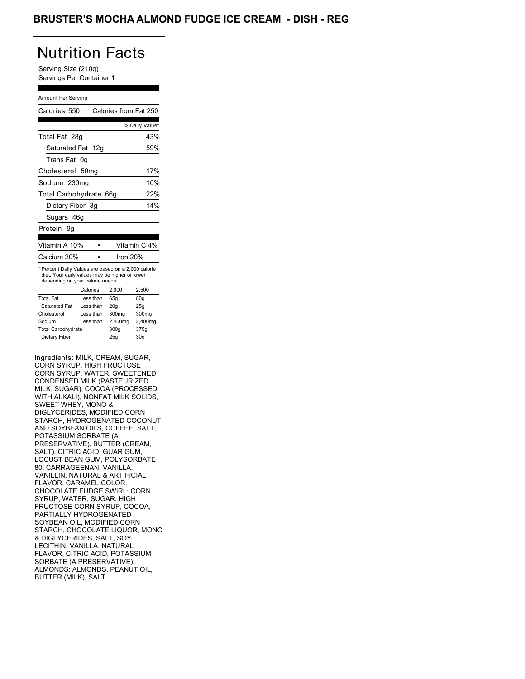### BRUSTER'S MOCHA ALMOND FUDGE ICE CREAM - DISH - REG

# Nutrition Facts

Serving Size (210g) Servings Per Container 1

#### Amount Per Serving

| Calories 550                                                                                                                              |    |           | Calories from Fat 250 |                 |
|-------------------------------------------------------------------------------------------------------------------------------------------|----|-----------|-----------------------|-----------------|
|                                                                                                                                           |    |           |                       | % Daily Value*  |
| Total Fat 28g                                                                                                                             |    |           |                       | 43%             |
| Saturated Fat 12g                                                                                                                         |    |           |                       | 59%             |
| Trans Fat                                                                                                                                 | 0g |           |                       |                 |
| Cholesterol 50mg                                                                                                                          |    |           |                       | 17%             |
| Sodium 230mg                                                                                                                              |    |           |                       | 10%             |
| Total Carbohydrate 66g                                                                                                                    |    |           |                       | 22%             |
| Dietary Fiber 3q                                                                                                                          |    |           |                       | 14%             |
| Sugars 46g                                                                                                                                |    |           |                       |                 |
| Protein 9q                                                                                                                                |    |           |                       |                 |
|                                                                                                                                           |    |           |                       |                 |
| Vitamin A 10%                                                                                                                             |    |           |                       | Vitamin C 4%    |
| Calcium 20%                                                                                                                               |    |           | Iron 20%              |                 |
| * Percent Daily Values are based on a 2,000 calorie<br>diet. Your daily values may be higher or lower<br>depending on your calorie needs: |    |           |                       |                 |
|                                                                                                                                           |    | Calories: | 2.000                 | 2,500           |
| <b>Total Fat</b>                                                                                                                          |    | Less than | 65q                   | 80q             |
| Saturated Fat                                                                                                                             |    | Less than | 20q                   | 25q             |
| Cholesterol                                                                                                                               |    | Less than | 300mg                 | 300mg           |
| Sodium                                                                                                                                    |    | Less than | 2,400mg               | 2,400mg         |
| <b>Total Carbohydrate</b>                                                                                                                 |    |           | 300g                  | 375g            |
| Dietary Fiber                                                                                                                             |    |           | 25q                   | 30 <sub>g</sub> |

Ingredients: MILK, CREAM, SUGAR, CORN SYRUP, HIGH FRUCTOSE CORN SYRUP, WATER, SWEETENED CONDENSED MILK (PASTEURIZED MILK, SUGAR), COCOA (PROCESSED WITH ALKALI), NONFAT MILK SOLIDS, SWEET WHEY, MONO & DIGLYCERIDES, MODIFIED CORN STARCH, HYDROGENATED COCONUT AND SOYBEAN OILS, COFFEE, SALT, POTASSIUM SORBATE (A PRESERVATIVE), BUTTER (CREAM, SALT), CITRIC ACID, GUAR GUM, LOCUST BEAN GUM, POLYSORBATE 80, CARRAGEENAN, VANILLA, VANILLIN, NATURAL & ARTIFICIAL FLAVOR, CARAMEL COLOR. CHOCOLATE FUDGE SWIRL: CORN SYRUP, WATER, SUGAR, HIGH FRUCTOSE CORN SYRUP, COCOA, PARTIALLY HYDROGENATED SOYBEAN OIL, MODIFIED CORN STARCH, CHOCOLATE LIQUOR, MONO & DIGLYCERIDES, SALT, SOY LECITHIN, VANILLA, NATURAL FLAVOR, CITRIC ACID, POTASSIUM SORBATE (A PRESERVATIVE). ALMONDS: ALMONDS, PEANUT OIL, BUTTER (MILK), SALT.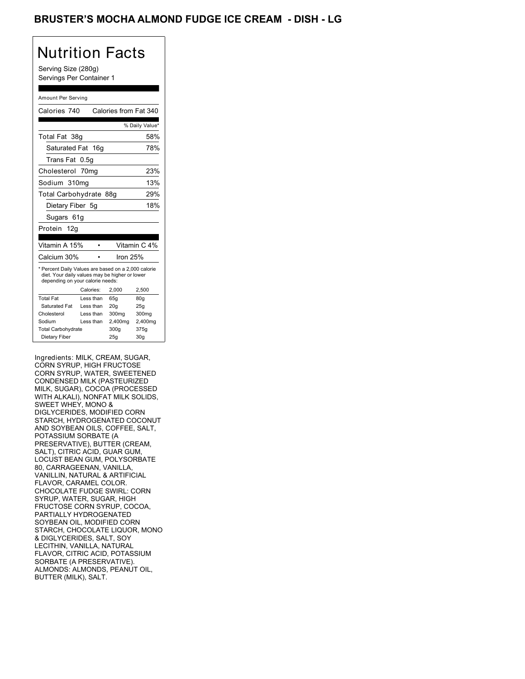### BRUSTER'S MOCHA ALMOND FUDGE ICE CREAM - DISH - LG

## Nutrition Facts

Serving Size (280g) Servings Per Container 1

#### Amount Per Serving

| Calories 740                                                                                                                              |           | Calories from Fat 340 |                 |  |
|-------------------------------------------------------------------------------------------------------------------------------------------|-----------|-----------------------|-----------------|--|
|                                                                                                                                           |           |                       | % Daily Value*  |  |
| Total Fat 38g                                                                                                                             |           |                       | 58%             |  |
| Saturated Fat 16g                                                                                                                         |           |                       | 78%             |  |
| Trans Fat                                                                                                                                 | 0.5g      |                       |                 |  |
| Cholesterol 70mg                                                                                                                          |           |                       | 23%             |  |
| Sodium 310mg                                                                                                                              |           |                       | 13%             |  |
| Total Carbohydrate 88g                                                                                                                    |           |                       | 29%             |  |
| Dietary Fiber 5q                                                                                                                          |           |                       | 18%             |  |
| Sugars 61g                                                                                                                                |           |                       |                 |  |
| Protein 12g                                                                                                                               |           |                       |                 |  |
|                                                                                                                                           |           |                       |                 |  |
| Vitamin A 15%                                                                                                                             |           |                       | Vitamin C 4%    |  |
| Calcium 30%                                                                                                                               |           | Iron 25%              |                 |  |
| * Percent Daily Values are based on a 2,000 calorie<br>diet. Your daily values may be higher or lower<br>depending on your calorie needs: |           |                       |                 |  |
|                                                                                                                                           | Calories: | 2.000                 | 2,500           |  |
| <b>Total Fat</b>                                                                                                                          | Less than | 65q                   | 80q             |  |
| Saturated Fat                                                                                                                             | Less than | 20q                   | 25q             |  |
| Cholesterol                                                                                                                               | Less than | 300mg                 | 300mg           |  |
| Sodium                                                                                                                                    | Less than | 2,400mg               | 2,400mg         |  |
| <b>Total Carbohydrate</b>                                                                                                                 |           | 300q                  | 375g            |  |
| Dietary Fiber                                                                                                                             |           | 25q                   | 30 <sub>g</sub> |  |

Ingredients: MILK, CREAM, SUGAR, CORN SYRUP, HIGH FRUCTOSE CORN SYRUP, WATER, SWEETENED CONDENSED MILK (PASTEURIZED MILK, SUGAR), COCOA (PROCESSED WITH ALKALI), NONFAT MILK SOLIDS, SWEET WHEY, MONO & DIGLYCERIDES, MODIFIED CORN STARCH, HYDROGENATED COCONUT AND SOYBEAN OILS, COFFEE, SALT, POTASSIUM SORBATE (A PRESERVATIVE), BUTTER (CREAM, SALT), CITRIC ACID, GUAR GUM, LOCUST BEAN GUM, POLYSORBATE 80, CARRAGEENAN, VANILLA, VANILLIN, NATURAL & ARTIFICIAL FLAVOR, CARAMEL COLOR. CHOCOLATE FUDGE SWIRL: CORN SYRUP, WATER, SUGAR, HIGH FRUCTOSE CORN SYRUP, COCOA, PARTIALLY HYDROGENATED SOYBEAN OIL, MODIFIED CORN STARCH, CHOCOLATE LIQUOR, MONO & DIGLYCERIDES, SALT, SOY LECITHIN, VANILLA, NATURAL FLAVOR, CITRIC ACID, POTASSIUM SORBATE (A PRESERVATIVE). ALMONDS: ALMONDS, PEANUT OIL, BUTTER (MILK), SALT.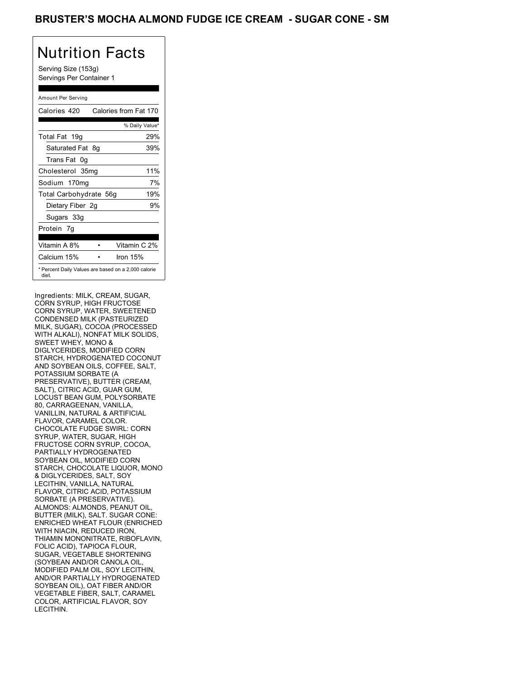### BRUSTER'S MOCHA ALMOND FUDGE ICE CREAM - SUGAR CONE - SM

## Nutrition Facts

Serving Size (153g) Servings Per Container 1

#### Amount Per Serving

| Calories 420           | Calories from Fat 170                               |
|------------------------|-----------------------------------------------------|
|                        | % Daily Value*                                      |
| Total Fat 19g          | 29%                                                 |
| Saturated Fat 8g       | 39%                                                 |
| Trans Fat 0q           |                                                     |
| Cholesterol 35mg       | 11%                                                 |
| Sodium 170mg           | 7%                                                  |
| Total Carbohydrate 56g | 19%                                                 |
| Dietary Fiber 2g       | 9%                                                  |
| Sugars 33g             |                                                     |
| Protein 7q             |                                                     |
| Vitamin A 8%           | Vitamin C 2%                                        |
| Calcium 15%            | Iron 15%                                            |
| diet.                  | * Percent Daily Values are based on a 2,000 calorie |

Ingredients: MILK, CREAM, SUGAR, CORN SYRUP, HIGH FRUCTOSE CORN SYRUP, WATER, SWEETENED CONDENSED MILK (PASTEURIZED MILK, SUGAR), COCOA (PROCESSED WITH ALKALI), NONFAT MILK SOLIDS, SWEET WHEY, MONO & DIGLYCERIDES, MODIFIED CORN STARCH, HYDROGENATED COCONUT AND SOYBEAN OILS, COFFEE, SALT, POTASSIUM SORBATE (A PRESERVATIVE), BUTTER (CREAM, SALT), CITRIC ACID, GUAR GUM, LOCUST BEAN GUM, POLYSORBATE 80, CARRAGEENAN, VANILLA, VANILLIN, NATURAL & ARTIFICIAL FLAVOR, CARAMEL COLOR. CHOCOLATE FUDGE SWIRL: CORN SYRUP, WATER, SUGAR, HIGH FRUCTOSE CORN SYRUP, COCOA, PARTIALLY HYDROGENATED SOYBEAN OIL, MODIFIED CORN STARCH, CHOCOLATE LIQUOR, MONO & DIGLYCERIDES, SALT, SOY LECITHIN, VANILLA, NATURAL FLAVOR, CITRIC ACID, POTASSIUM SORBATE (A PRESERVATIVE). ALMONDS: ALMONDS, PEANUT OIL, BUTTER (MILK), SALT. SUGAR CONE: ENRICHED WHEAT FLOUR (ENRICHED WITH NIACIN, REDUCED IRON, THIAMIN MONONITRATE, RIBOFLAVIN, FOLIC ACID), TAPIOCA FLOUR, SUGAR, VEGETABLE SHORTENING (SOYBEAN AND/OR CANOLA OIL, MODIFIED PALM OIL, SOY LECITHIN, AND/OR PARTIALLY HYDROGENATED SOYBEAN OIL), OAT FIBER AND/OR VEGETABLE FIBER, SALT, CARAMEL COLOR, ARTIFICIAL FLAVOR, SOY LECITHIN.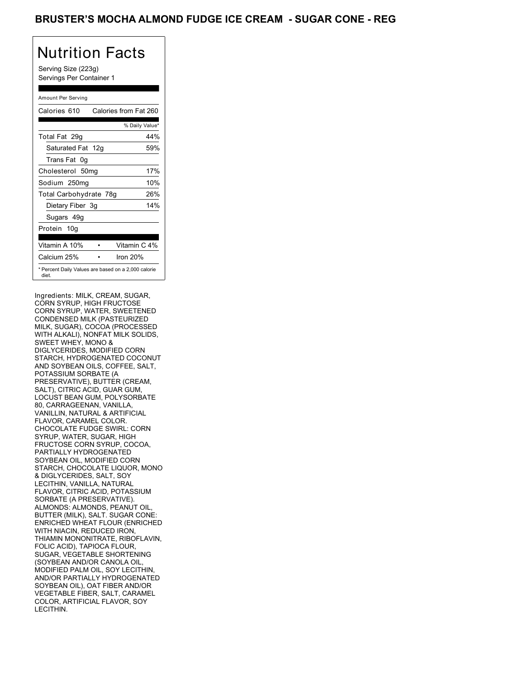### BRUSTER'S MOCHA ALMOND FUDGE ICE CREAM - SUGAR CONE - REG

## Nutrition Facts

Serving Size (223g) Servings Per Container 1

#### Amount Per Serving

| Calories 610           | Calories from Fat 260                               |
|------------------------|-----------------------------------------------------|
|                        | % Daily Value*                                      |
| Total Fat 29g          | 44%                                                 |
| Saturated Fat 12g      | 59%                                                 |
| Trans Fat 0q           |                                                     |
| Cholesterol 50mg       | 17%                                                 |
| Sodium 250mg           | 10%                                                 |
| Total Carbohydrate 78g | 26%                                                 |
| Dietary Fiber 3g       | 14%                                                 |
| Sugars 49g             |                                                     |
| Protein 10q            |                                                     |
| Vitamin A 10%          | Vitamin C 4%                                        |
| Calcium 25%            | Iron 20%                                            |
| diet.                  | * Percent Daily Values are based on a 2,000 calorie |

Ingredients: MILK, CREAM, SUGAR, CORN SYRUP, HIGH FRUCTOSE CORN SYRUP, WATER, SWEETENED CONDENSED MILK (PASTEURIZED MILK, SUGAR), COCOA (PROCESSED WITH ALKALI), NONFAT MILK SOLIDS, SWEET WHEY, MONO & DIGLYCERIDES, MODIFIED CORN STARCH, HYDROGENATED COCONUT AND SOYBEAN OILS, COFFEE, SALT, POTASSIUM SORBATE (A PRESERVATIVE), BUTTER (CREAM, SALT), CITRIC ACID, GUAR GUM, LOCUST BEAN GUM, POLYSORBATE 80, CARRAGEENAN, VANILLA, VANILLIN, NATURAL & ARTIFICIAL FLAVOR, CARAMEL COLOR. CHOCOLATE FUDGE SWIRL: CORN SYRUP, WATER, SUGAR, HIGH FRUCTOSE CORN SYRUP, COCOA, PARTIALLY HYDROGENATED SOYBEAN OIL, MODIFIED CORN STARCH, CHOCOLATE LIQUOR, MONO & DIGLYCERIDES, SALT, SOY LECITHIN, VANILLA, NATURAL FLAVOR, CITRIC ACID, POTASSIUM SORBATE (A PRESERVATIVE). ALMONDS: ALMONDS, PEANUT OIL, BUTTER (MILK), SALT. SUGAR CONE: ENRICHED WHEAT FLOUR (ENRICHED WITH NIACIN, REDUCED IRON, THIAMIN MONONITRATE, RIBOFLAVIN, FOLIC ACID), TAPIOCA FLOUR, SUGAR, VEGETABLE SHORTENING (SOYBEAN AND/OR CANOLA OIL, MODIFIED PALM OIL, SOY LECITHIN, AND/OR PARTIALLY HYDROGENATED SOYBEAN OIL), OAT FIBER AND/OR VEGETABLE FIBER, SALT, CARAMEL COLOR, ARTIFICIAL FLAVOR, SOY LECITHIN.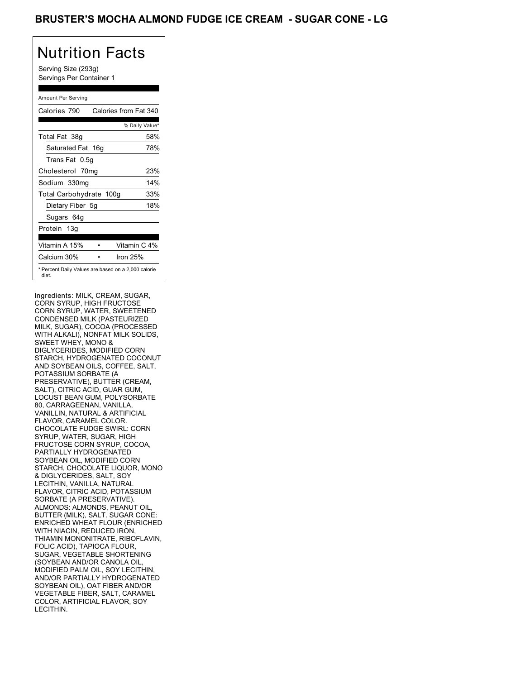## Nutrition Facts

Serving Size (293g) Servings Per Container 1

#### Amount Per Serving

| Calories 790            | Calories from Fat 340                               |
|-------------------------|-----------------------------------------------------|
|                         | % Daily Value*                                      |
| Total Fat 38g           | 58%                                                 |
| Saturated Fat 16g       | 78%                                                 |
| Trans Fat 0.5g          |                                                     |
| Cholesterol 70mg        | 23%                                                 |
| Sodium 330mg            | 14%                                                 |
| Total Carbohydrate 100g | 33%                                                 |
| Dietary Fiber 5g        | 18%                                                 |
| Sugars 64g              |                                                     |
| Protein 13g             |                                                     |
| Vitamin A 15%           | Vitamin C 4%                                        |
| Calcium 30%             | Iron $25%$                                          |
| diet.                   | * Percent Daily Values are based on a 2,000 calorie |

Ingredients: MILK, CREAM, SUGAR, CORN SYRUP, HIGH FRUCTOSE CORN SYRUP, WATER, SWEETENED CONDENSED MILK (PASTEURIZED MILK, SUGAR), COCOA (PROCESSED WITH ALKALI), NONFAT MILK SOLIDS, SWEET WHEY, MONO & DIGLYCERIDES, MODIFIED CORN STARCH, HYDROGENATED COCONUT AND SOYBEAN OILS, COFFEE, SALT, POTASSIUM SORBATE (A PRESERVATIVE), BUTTER (CREAM, SALT), CITRIC ACID, GUAR GUM, LOCUST BEAN GUM, POLYSORBATE 80, CARRAGEENAN, VANILLA, VANILLIN, NATURAL & ARTIFICIAL FLAVOR, CARAMEL COLOR. CHOCOLATE FUDGE SWIRL: CORN SYRUP, WATER, SUGAR, HIGH FRUCTOSE CORN SYRUP, COCOA, PARTIALLY HYDROGENATED SOYBEAN OIL, MODIFIED CORN STARCH, CHOCOLATE LIQUOR, MONO & DIGLYCERIDES, SALT, SOY LECITHIN, VANILLA, NATURAL FLAVOR, CITRIC ACID, POTASSIUM SORBATE (A PRESERVATIVE). ALMONDS: ALMONDS, PEANUT OIL, BUTTER (MILK), SALT. SUGAR CONE: ENRICHED WHEAT FLOUR (ENRICHED WITH NIACIN, REDUCED IRON, THIAMIN MONONITRATE, RIBOFLAVIN, FOLIC ACID), TAPIOCA FLOUR, SUGAR, VEGETABLE SHORTENING (SOYBEAN AND/OR CANOLA OIL, MODIFIED PALM OIL, SOY LECITHIN, AND/OR PARTIALLY HYDROGENATED SOYBEAN OIL), OAT FIBER AND/OR VEGETABLE FIBER, SALT, CARAMEL COLOR, ARTIFICIAL FLAVOR, SOY LECITHIN.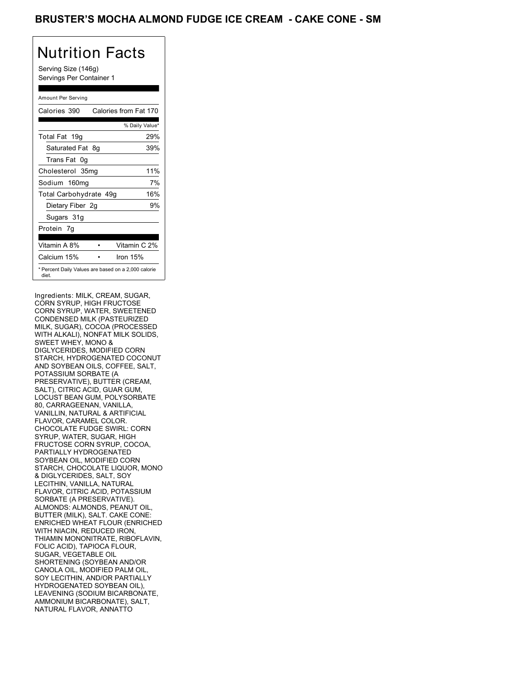### BRUSTER'S MOCHA ALMOND FUDGE ICE CREAM - CAKE CONE - SM

## Nutrition Facts

Serving Size (146g) Servings Per Container 1

#### Amount Per Serving

| Calories 390           | Calories from Fat 170                               |
|------------------------|-----------------------------------------------------|
|                        | % Daily Value*                                      |
| Total Fat 19g          | 29%                                                 |
| Saturated Fat 8g       | 39%                                                 |
| Trans Fat 0g           |                                                     |
| Cholesterol 35mg       | 11%                                                 |
| Sodium 160mg           | 7%                                                  |
| Total Carbohydrate 49g | 16%                                                 |
| Dietary Fiber 2g       | 9%                                                  |
| Sugars 31g             |                                                     |
| Protein 7q             |                                                     |
| Vitamin A 8%           | Vitamin C 2%                                        |
| Calcium 15%            | Iron $15%$                                          |
| diet.                  | * Percent Daily Values are based on a 2,000 calorie |

Ingredients: MILK, CREAM, SUGAR, CORN SYRUP, HIGH FRUCTOSE CORN SYRUP, WATER, SWEETENED CONDENSED MILK (PASTEURIZED MILK, SUGAR), COCOA (PROCESSED WITH ALKALI), NONFAT MILK SOLIDS, SWEET WHEY, MONO & DIGLYCERIDES, MODIFIED CORN STARCH, HYDROGENATED COCONUT AND SOYBEAN OILS, COFFEE, SALT, POTASSIUM SORBATE (A PRESERVATIVE), BUTTER (CREAM, SALT), CITRIC ACID, GUAR GUM, LOCUST BEAN GUM, POLYSORBATE 80, CARRAGEENAN, VANILLA, VANILLIN, NATURAL & ARTIFICIAL FLAVOR, CARAMEL COLOR. CHOCOLATE FUDGE SWIRL: CORN SYRUP, WATER, SUGAR, HIGH FRUCTOSE CORN SYRUP, COCOA, PARTIALLY HYDROGENATED SOYBEAN OIL, MODIFIED CORN STARCH, CHOCOLATE LIQUOR, MONO & DIGLYCERIDES, SALT, SOY LECITHIN, VANILLA, NATURAL FLAVOR, CITRIC ACID, POTASSIUM SORBATE (A PRESERVATIVE). ALMONDS: ALMONDS, PEANUT OIL, BUTTER (MILK), SALT. CAKE CONE: ENRICHED WHEAT FLOUR (ENRICHED WITH NIACIN, REDUCED IRON, THIAMIN MONONITRATE, RIBOFLAVIN, FOLIC ACID), TAPIOCA FLOUR, SUGAR, VEGETABLE OIL SHORTENING (SOYBEAN AND/OR CANOLA OIL, MODIFIED PALM OIL, SOY LECITHIN, AND/OR PARTIALLY HYDROGENATED SOYBEAN OIL), LEAVENING (SODIUM BICARBONATE, AMMONIUM BICARBONATE), SALT, NATURAL FLAVOR, ANNATTO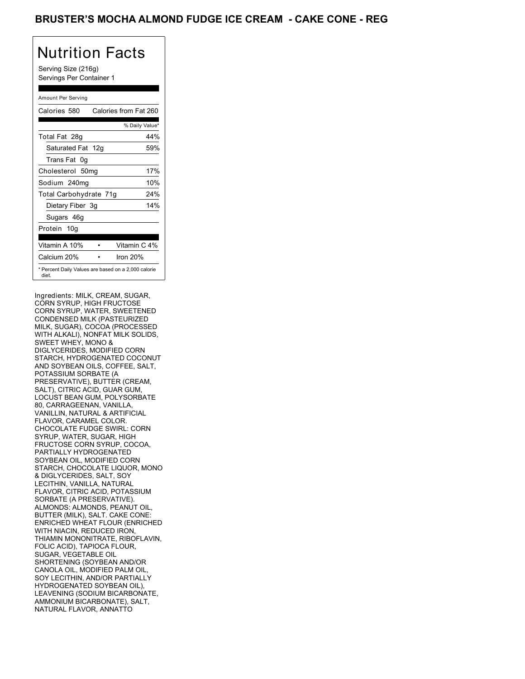### BRUSTER'S MOCHA ALMOND FUDGE ICE CREAM - CAKE CONE - REG

## Nutrition Facts

Serving Size (216g) Servings Per Container 1

#### Amount Per Serving

| Calories 580           | Calories from Fat 260                               |
|------------------------|-----------------------------------------------------|
|                        | % Daily Value*                                      |
| Total Fat 28g          | 44%                                                 |
| Saturated Fat 12g      | 59%                                                 |
| Trans Fat 0q           |                                                     |
| Cholesterol 50mg       | 17%                                                 |
| Sodium 240mg           | 10%                                                 |
| Total Carbohydrate 71g | 24%                                                 |
| Dietary Fiber 3g       | 14%                                                 |
| Sugars 46g             |                                                     |
| Protein 10g            |                                                     |
| Vitamin A 10%          | Vitamin C 4%                                        |
| Calcium 20%            | Iron 20%                                            |
| diet.                  | * Percent Daily Values are based on a 2,000 calorie |

Ingredients: MILK, CREAM, SUGAR, CORN SYRUP, HIGH FRUCTOSE CORN SYRUP, WATER, SWEETENED CONDENSED MILK (PASTEURIZED MILK, SUGAR), COCOA (PROCESSED WITH ALKALI), NONFAT MILK SOLIDS, SWEET WHEY, MONO & DIGLYCERIDES, MODIFIED CORN STARCH, HYDROGENATED COCONUT AND SOYBEAN OILS, COFFEE, SALT, POTASSIUM SORBATE (A PRESERVATIVE), BUTTER (CREAM, SALT), CITRIC ACID, GUAR GUM, LOCUST BEAN GUM, POLYSORBATE 80, CARRAGEENAN, VANILLA, VANILLIN, NATURAL & ARTIFICIAL FLAVOR, CARAMEL COLOR. CHOCOLATE FUDGE SWIRL: CORN SYRUP, WATER, SUGAR, HIGH FRUCTOSE CORN SYRUP, COCOA, PARTIALLY HYDROGENATED SOYBEAN OIL, MODIFIED CORN STARCH, CHOCOLATE LIQUOR, MONO & DIGLYCERIDES, SALT, SOY LECITHIN, VANILLA, NATURAL FLAVOR, CITRIC ACID, POTASSIUM SORBATE (A PRESERVATIVE). ALMONDS: ALMONDS, PEANUT OIL, BUTTER (MILK), SALT. CAKE CONE: ENRICHED WHEAT FLOUR (ENRICHED WITH NIACIN, REDUCED IRON, THIAMIN MONONITRATE, RIBOFLAVIN, FOLIC ACID), TAPIOCA FLOUR, SUGAR, VEGETABLE OIL SHORTENING (SOYBEAN AND/OR CANOLA OIL, MODIFIED PALM OIL, SOY LECITHIN, AND/OR PARTIALLY HYDROGENATED SOYBEAN OIL), LEAVENING (SODIUM BICARBONATE, AMMONIUM BICARBONATE), SALT, NATURAL FLAVOR, ANNATTO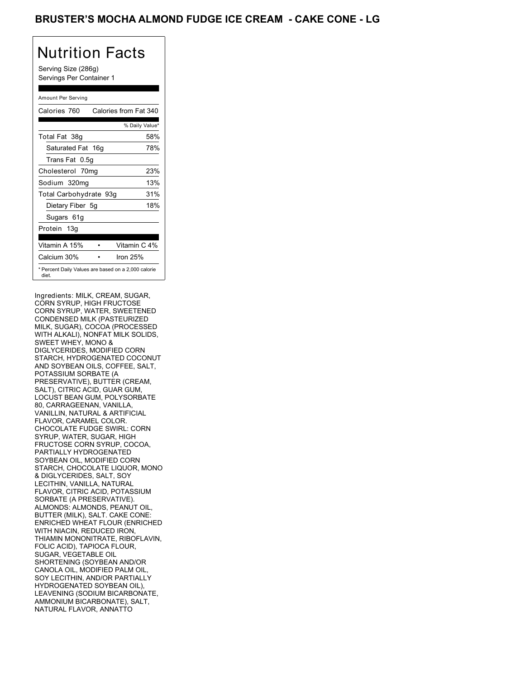### BRUSTER'S MOCHA ALMOND FUDGE ICE CREAM - CAKE CONE - LG

## Nutrition Facts

Serving Size (286g) Servings Per Container 1

#### Amount Per Serving

| Calories 760           | Calories from Fat 340                               |
|------------------------|-----------------------------------------------------|
|                        | % Daily Value*                                      |
| Total Fat 38g          | 58%                                                 |
| Saturated Fat 16g      | 78%                                                 |
| Trans Fat 0.5g         |                                                     |
| Cholesterol 70mg       | 23%                                                 |
| Sodium 320mg           | 13%                                                 |
| Total Carbohydrate 93g | 31%                                                 |
| Dietary Fiber 5g       | 18%                                                 |
| Sugars 61g             |                                                     |
| Protein 13g            |                                                     |
| Vitamin A 15%          | Vitamin C 4%                                        |
| Calcium 30%            | Iron $25%$                                          |
| diet.                  | * Percent Daily Values are based on a 2,000 calorie |

Ingredients: MILK, CREAM, SUGAR, CORN SYRUP, HIGH FRUCTOSE CORN SYRUP, WATER, SWEETENED CONDENSED MILK (PASTEURIZED MILK, SUGAR), COCOA (PROCESSED WITH ALKALI), NONFAT MILK SOLIDS, SWEET WHEY, MONO & DIGLYCERIDES, MODIFIED CORN STARCH, HYDROGENATED COCONUT AND SOYBEAN OILS, COFFEE, SALT, POTASSIUM SORBATE (A PRESERVATIVE), BUTTER (CREAM, SALT), CITRIC ACID, GUAR GUM, LOCUST BEAN GUM, POLYSORBATE 80, CARRAGEENAN, VANILLA, VANILLIN, NATURAL & ARTIFICIAL FLAVOR, CARAMEL COLOR. CHOCOLATE FUDGE SWIRL: CORN SYRUP, WATER, SUGAR, HIGH FRUCTOSE CORN SYRUP, COCOA, PARTIALLY HYDROGENATED SOYBEAN OIL, MODIFIED CORN STARCH, CHOCOLATE LIQUOR, MONO & DIGLYCERIDES, SALT, SOY LECITHIN, VANILLA, NATURAL FLAVOR, CITRIC ACID, POTASSIUM SORBATE (A PRESERVATIVE). ALMONDS: ALMONDS, PEANUT OIL, BUTTER (MILK), SALT. CAKE CONE: ENRICHED WHEAT FLOUR (ENRICHED WITH NIACIN, REDUCED IRON, THIAMIN MONONITRATE, RIBOFLAVIN, FOLIC ACID), TAPIOCA FLOUR, SUGAR, VEGETABLE OIL SHORTENING (SOYBEAN AND/OR CANOLA OIL, MODIFIED PALM OIL, SOY LECITHIN, AND/OR PARTIALLY HYDROGENATED SOYBEAN OIL), LEAVENING (SODIUM BICARBONATE, AMMONIUM BICARBONATE), SALT, NATURAL FLAVOR, ANNATTO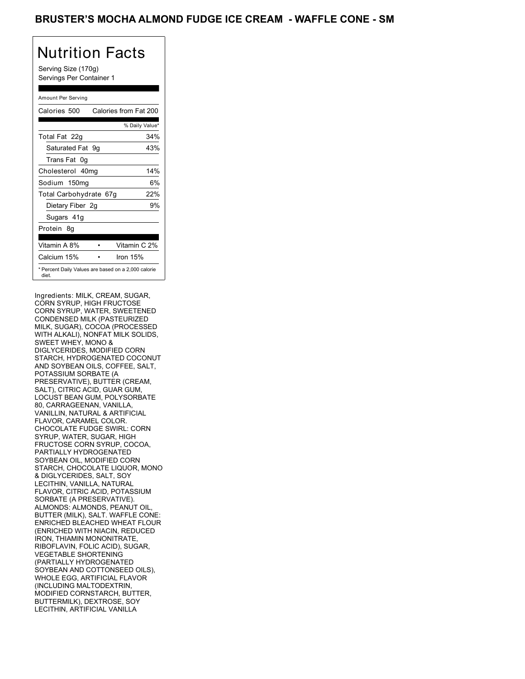### BRUSTER'S MOCHA ALMOND FUDGE ICE CREAM - WAFFLE CONE - SM

## Nutrition Facts

Serving Size (170g) Servings Per Container 1

#### Amount Per Serving

| Calories 500           | Calories from Fat 200                               |
|------------------------|-----------------------------------------------------|
|                        | % Daily Value*                                      |
| Total Fat 22g          | 34%                                                 |
| Saturated Fat 9g       | 43%                                                 |
| Trans Fat 0q           |                                                     |
| Cholesterol 40mg       | 14%                                                 |
| Sodium 150mg           | 6%                                                  |
| Total Carbohydrate 67g | 22%                                                 |
| Dietary Fiber 2g       | 9%                                                  |
| Sugars 41g             |                                                     |
| Protein 8q             |                                                     |
| Vitamin A 8%           | Vitamin C 2%                                        |
| Calcium 15%            | Iron 15%                                            |
| diet.                  | * Percent Daily Values are based on a 2,000 calorie |

Ingredients: MILK, CREAM, SUGAR, CORN SYRUP, HIGH FRUCTOSE CORN SYRUP, WATER, SWEETENED CONDENSED MILK (PASTEURIZED MILK, SUGAR), COCOA (PROCESSED WITH ALKALI), NONFAT MILK SOLIDS, SWEET WHEY, MONO & DIGLYCERIDES, MODIFIED CORN STARCH, HYDROGENATED COCONUT AND SOYBEAN OILS, COFFEE, SALT, POTASSIUM SORBATE (A PRESERVATIVE), BUTTER (CREAM, SALT), CITRIC ACID, GUAR GUM, LOCUST BEAN GUM, POLYSORBATE 80, CARRAGEENAN, VANILLA, VANILLIN, NATURAL & ARTIFICIAL FLAVOR, CARAMEL COLOR. CHOCOLATE FUDGE SWIRL: CORN SYRUP, WATER, SUGAR, HIGH FRUCTOSE CORN SYRUP, COCOA, PARTIALLY HYDROGENATED SOYBEAN OIL, MODIFIED CORN STARCH, CHOCOLATE LIQUOR, MONO & DIGLYCERIDES, SALT, SOY LECITHIN, VANILLA, NATURAL FLAVOR, CITRIC ACID, POTASSIUM SORBATE (A PRESERVATIVE). ALMONDS: ALMONDS, PEANUT OIL, BUTTER (MILK), SALT. WAFFLE CONE: ENRICHED BLEACHED WHEAT FLOUR (ENRICHED WITH NIACIN, REDUCED IRON, THIAMIN MONONITRATE, RIBOFLAVIN, FOLIC ACID), SUGAR, VEGETABLE SHORTENING (PARTIALLY HYDROGENATED SOYBEAN AND COTTONSEED OILS), WHOLE EGG, ARTIFICIAL FLAVOR (INCLUDING MALTODEXTRIN, MODIFIED CORNSTARCH, BUTTER, BUTTERMILK), DEXTROSE, SOY LECITHIN, ARTIFICIAL VANILLA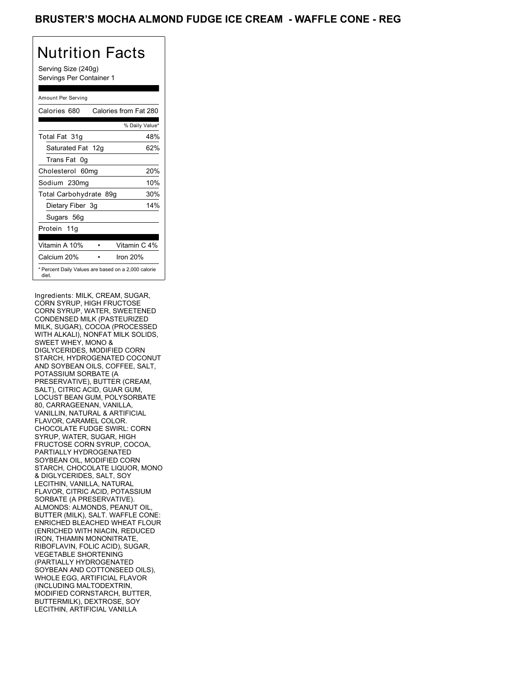### BRUSTER'S MOCHA ALMOND FUDGE ICE CREAM - WAFFLE CONE - REG

## Nutrition Facts

Serving Size (240g) Servings Per Container 1

#### Amount Per Serving

| Calories 680           |  | Calories from Fat 280                               |
|------------------------|--|-----------------------------------------------------|
|                        |  | % Daily Value*                                      |
| Total Fat 31g          |  | 48%                                                 |
| Saturated Fat 12g      |  | 62%                                                 |
| Trans Fat 0q           |  |                                                     |
| Cholesterol 60mg       |  | 20%                                                 |
| Sodium 230mg           |  | 10%                                                 |
| Total Carbohydrate 89g |  | 30%                                                 |
| Dietary Fiber 3g       |  | 14%                                                 |
| Sugars 56g             |  |                                                     |
| Protein 11g            |  |                                                     |
|                        |  |                                                     |
| Vitamin A 10%          |  | Vitamin C 4%                                        |
| Calcium 20%            |  | Iron 20%                                            |
| diet.                  |  | * Percent Daily Values are based on a 2,000 calorie |

Ingredients: MILK, CREAM, SUGAR, CORN SYRUP, HIGH FRUCTOSE CORN SYRUP, WATER, SWEETENED CONDENSED MILK (PASTEURIZED MILK, SUGAR), COCOA (PROCESSED WITH ALKALI), NONFAT MILK SOLIDS, SWEET WHEY, MONO & DIGLYCERIDES, MODIFIED CORN STARCH, HYDROGENATED COCONUT AND SOYBEAN OILS, COFFEE, SALT, POTASSIUM SORBATE (A PRESERVATIVE), BUTTER (CREAM, SALT), CITRIC ACID, GUAR GUM, LOCUST BEAN GUM, POLYSORBATE 80, CARRAGEENAN, VANILLA, VANILLIN, NATURAL & ARTIFICIAL FLAVOR, CARAMEL COLOR. CHOCOLATE FUDGE SWIRL: CORN SYRUP, WATER, SUGAR, HIGH FRUCTOSE CORN SYRUP, COCOA, PARTIALLY HYDROGENATED SOYBEAN OIL, MODIFIED CORN STARCH, CHOCOLATE LIQUOR, MONO & DIGLYCERIDES, SALT, SOY LECITHIN, VANILLA, NATURAL FLAVOR, CITRIC ACID, POTASSIUM SORBATE (A PRESERVATIVE). ALMONDS: ALMONDS, PEANUT OIL, BUTTER (MILK), SALT. WAFFLE CONE: ENRICHED BLEACHED WHEAT FLOUR (ENRICHED WITH NIACIN, REDUCED IRON, THIAMIN MONONITRATE, RIBOFLAVIN, FOLIC ACID), SUGAR, VEGETABLE SHORTENING (PARTIALLY HYDROGENATED SOYBEAN AND COTTONSEED OILS), WHOLE EGG, ARTIFICIAL FLAVOR (INCLUDING MALTODEXTRIN, MODIFIED CORNSTARCH, BUTTER, BUTTERMILK), DEXTROSE, SOY LECITHIN, ARTIFICIAL VANILLA